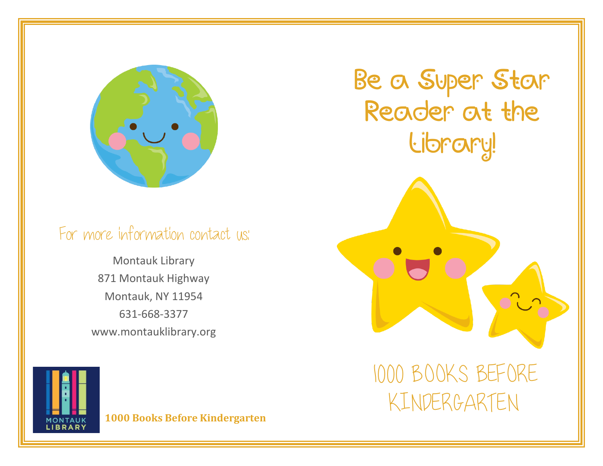

#### For more information contact us:

Montauk Library 871 Montauk Highway Montauk, NY 11954 631-668-3377 www.montauklibrary.org Be a Super Star Reader at the Library!

**MONTAUK**<br>LIBRARY

**1000 Books Before Kindergarten**

1000 BOOKS BEFORE KINDERGARTEN